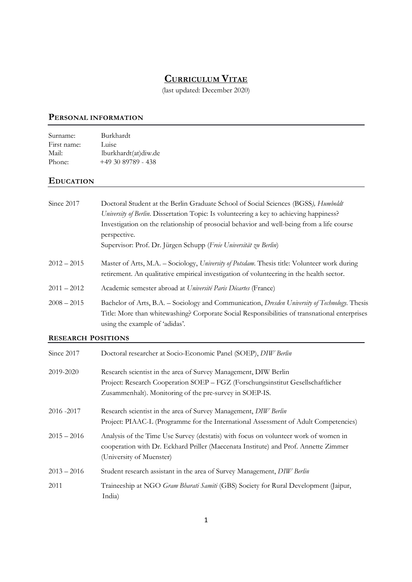# CURRICULUM VITAE

(last updated: December 2020)

### PERSONAL INFORMATION

| Surname:    | Burkhardt            |
|-------------|----------------------|
| First name: | Luise                |
| Mail:       | lburkhardt(at)diw.de |
| Phone:      | $+49.30.89789 - 438$ |

### **EDUCATION**

| Since 2017                | Doctoral Student at the Berlin Graduate School of Social Sciences (BGSS), Humboldt<br>University of Berlin. Dissertation Topic: Is volunteering a key to achieving happiness?<br>Investigation on the relationship of prosocial behavior and well-being from a life course<br>perspective.<br>Supervisor: Prof. Dr. Jürgen Schupp (Freie Universität zu Berlin) |  |
|---------------------------|-----------------------------------------------------------------------------------------------------------------------------------------------------------------------------------------------------------------------------------------------------------------------------------------------------------------------------------------------------------------|--|
| $2012 - 2015$             | Master of Arts, M.A. - Sociology, University of Potsdam. Thesis title: Volunteer work during<br>retirement. An qualitative empirical investigation of volunteering in the health sector.                                                                                                                                                                        |  |
| $2011 - 2012$             | Academic semester abroad at Université Paris Décartes (France)                                                                                                                                                                                                                                                                                                  |  |
| $2008 - 2015$             | Bachelor of Arts, B.A. - Sociology and Communication, Dresden University of Technology. Thesis<br>Title: More than whitewashing? Corporate Social Responsibilities of transnational enterprises<br>using the example of 'adidas'.                                                                                                                               |  |
| <b>RESEARCH POSITIONS</b> |                                                                                                                                                                                                                                                                                                                                                                 |  |
| Since 2017                | Doctoral researcher at Socio-Economic Panel (SOEP), DIW Berlin                                                                                                                                                                                                                                                                                                  |  |
| 2019-2020                 | Research scientist in the area of Survey Management, DIW Berlin<br>Project: Research Cooperation SOEP – FGZ (Forschungsinstitut Gesellschaftlicher<br>Zusammenhalt). Monitoring of the pre-survey in SOEP-IS.                                                                                                                                                   |  |

- 2016 -2017 Research scientist in the area of Survey Management, DIW Berlin Project: PIAAC-L (Programme for the International Assessment of Adult Competencies) 2015 – 2016 Analysis of the Time Use Survey (destatis) with focus on volunteer work of women in
- cooperation with Dr. Eckhard Priller (Maecenata Institute) and Prof. Annette Zimmer (University of Muenster)
- 2013 2016 Student research assistant in the area of Survey Management, DIW Berlin
- 2011 Traineeship at NGO Gram Bharati Samiti (GBS) Society for Rural Development (Jaipur, India)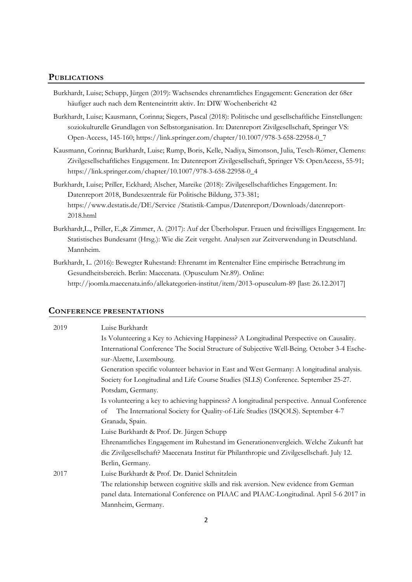#### **PUBLICATIONS**

- Burkhardt, Luise; Schupp, Jürgen (2019): Wachsendes ehrenamtliches Engagement: Generation der 68er häufiger auch nach dem Renteneintritt aktiv. In: DIW Wochenbericht 42
- Burkhardt, Luise; Kausmann, Corinna; Siegers, Pascal (2018): Politische und gesellschaftliche Einstellungen: soziokulturelle Grundlagen von Selbstorganisation. In: Datenreport Zivilgesellschaft, Springer VS: Open-Access, 145-160; https://link.springer.com/chapter/10.1007/978-3-658-22958-0\_7
- Kausmann, Corinna; Burkhardt, Luise; Rump, Boris, Kelle, Nadiya, Simonson, Julia, Tesch-Römer, Clemens: Zivilgesellschaftliches Engagement. In: Datenreport Zivilgesellschaft, Springer VS: OpenAccess, 55-91; https://link.springer.com/chapter/10.1007/978-3-658-22958-0\_4
- Burkhardt, Luise; Priller, Eckhard; Alscher, Mareike (2018): Zivilgesellschaftliches Engagement. In: Datenreport 2018, Bundeszentrale für Politische Bildung, 373-381; https://www.destatis.de/DE/Service /Statistik-Campus/Datenreport/Downloads/datenreport-2018.html
- Burkhardt,L., Priller, E.,& Zimmer, A. (2017): Auf der Überholspur. Frauen und freiwilliges Engagement. In: Statistisches Bundesamt (Hrsg.): Wie die Zeit vergeht. Analysen zur Zeitverwendung in Deutschland. Mannheim.
- Burkhardt, L. (2016): Bewegter Ruhestand: Ehrenamt im Rentenalter Eine empirische Betrachtung im Gesundheitsbereich. Berlin: Maecenata. (Opusculum Nr.89). Online: http://joomla.maecenata.info/allekategorien-institut/item/2013-opusculum-89 [last: 26.12.2017]

### CONFERENCE PRESENTATIONS

| 2019 | Luise Burkhardt                                                                             |  |
|------|---------------------------------------------------------------------------------------------|--|
|      | Is Volunteering a Key to Achieving Happiness? A Longitudinal Perspective on Causality.      |  |
|      | International Conference The Social Structure of Subjective Well-Being. October 3-4 Esche-  |  |
|      | sur-Alzette, Luxembourg.                                                                    |  |
|      | Generation specific volunteer behavior in East and West Germany: A longitudinal analysis.   |  |
|      | Society for Longitudinal and Life Course Studies (SLLS) Conference. September 25-27.        |  |
|      | Potsdam, Germany.                                                                           |  |
|      | Is volunteering a key to achieving happiness? A longitudinal perspective. Annual Conference |  |
|      | The International Society for Quality-of-Life Studies (ISQOLS). September 4-7<br>of         |  |
|      | Granada, Spain.                                                                             |  |
|      | Luise Burkhardt & Prof. Dr. Jürgen Schupp                                                   |  |
|      | Ehrenamtliches Engagement im Ruhestand im Generationenvergleich. Welche Zukunft hat         |  |
|      | die Zivilgesellschaft? Maecenata Institut für Philanthropie und Zivilgesellschaft. July 12. |  |
|      | Berlin, Germany.                                                                            |  |
| 2017 | Luise Burkhardt & Prof. Dr. Daniel Schnitzlein                                              |  |
|      | The relationship between cognitive skills and risk aversion. New evidence from German       |  |
|      | panel data. International Conference on PIAAC and PIAAC-Longitudinal. April 5-6 2017 in     |  |
|      | Mannheim, Germany.                                                                          |  |
|      |                                                                                             |  |